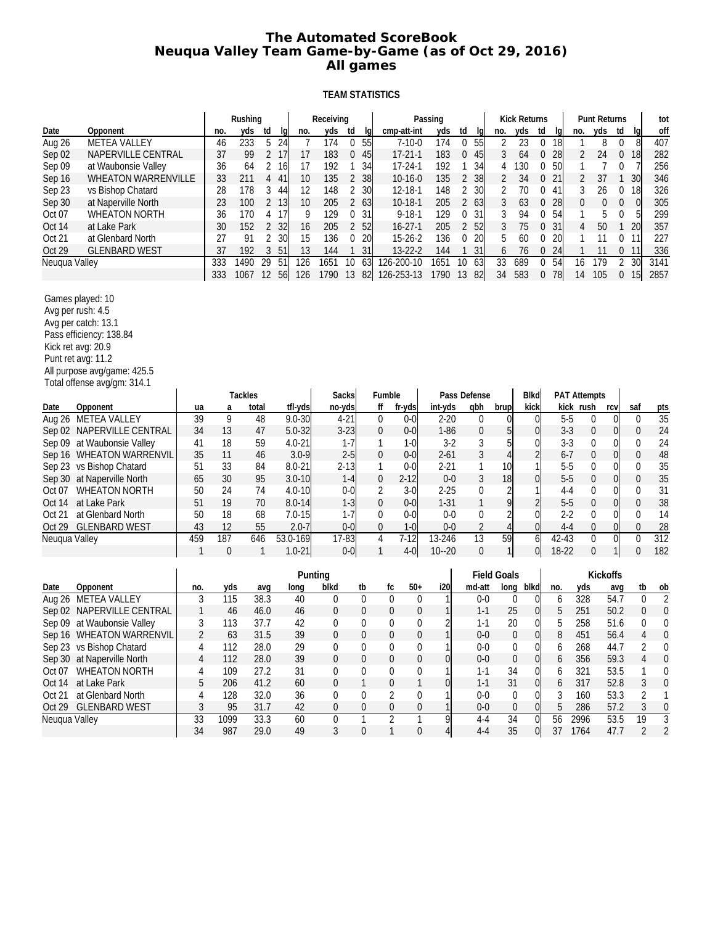# **The Automated ScoreBook Neuqua Valley Team Game-by-Game (as of Oct 29, 2016) All games**

### **TEAM STATISTICS**

|               |                                                                                                                                                                                                   |     |      | Rushing |                |          |            | Receiving      |                |                  |                  |                  | Passing        |                |                  |                    | <b>Kick Returns</b> |                  |         |                     | <b>Punt Returns</b> |                |                 | tot              |
|---------------|---------------------------------------------------------------------------------------------------------------------------------------------------------------------------------------------------|-----|------|---------|----------------|----------|------------|----------------|----------------|------------------|------------------|------------------|----------------|----------------|------------------|--------------------|---------------------|------------------|---------|---------------------|---------------------|----------------|-----------------|------------------|
| Date          | Opponent                                                                                                                                                                                          |     | no.  | yds     | td             | lq       | no.        | yds            | td             | lq               |                  | cmp-att-int      | yds            | td             | lq               | no.                | yds                 | td               | Ig      | no.                 | yds                 | td             | lq              | off              |
| Aug 26        | <b>METEA VALLEY</b>                                                                                                                                                                               |     | 46   | 233     | 5              | 24       | 7          | 174            | 0              | 55               |                  | $7 - 10 - 0$     | 174            | $\mathbf 0$    | 55               | 2                  | 23                  | 0                | 18      | $\mathbf{1}$        | 8                   | 0              | 8               | 407              |
| Sep 02        | NAPERVILLE CENTRAL                                                                                                                                                                                |     | 37   | 99      |                | 2 17     | 17         | 183            | 0              | -45              |                  | $17 - 21 - 1$    | 183            |                | 045              | 3                  | 64                  | 0                | 28      | 2                   | 24                  | $\overline{0}$ | 18              | 282              |
| Sep 09        | at Waubonsie Valley                                                                                                                                                                               |     | 36   | 64      | 2              | -16      | 17         | 192            | 1              | 34               |                  | $17 - 24 - 1$    | 192            | $\mathbf{1}$   | 34               | 4                  | 130                 | 0                | 50      | $\mathbf{1}$        | 7                   | 0              | 7               | 256              |
| Sep 16        | WHEATON WARRENVILLE                                                                                                                                                                               |     | 33   | 211     | 4              | 41       | 10         | 135            | $\overline{c}$ | 38               |                  | $10 - 16 - 0$    | 135            | $\overline{2}$ | 38               | 2                  | 34                  | 0                | 21      | 2                   | 37                  | 1              | 30              | 346              |
| Sep 23        | vs Bishop Chatard                                                                                                                                                                                 |     | 28   | 178     | 3              | 44       | 12         | 148            | 2              | 30               |                  | $12 - 18 - 1$    | 148            | 2              | 30               | 2                  | 70                  | 0                | 41      | 3                   | 26                  | 0              | 18              | 326              |
| Sep 30        | at Naperville North                                                                                                                                                                               |     | 23   | 100     | $\overline{2}$ | -13      | 10         | 205            | 2 63           |                  |                  | $10-18-1$        | 205            | $\overline{2}$ | 63               | 3                  | 63                  | 0                | 28      | 0                   | $\mathbf 0$         | 0              | $\overline{0}$  | 305              |
| Oct 07        | <b>WHEATON NORTH</b>                                                                                                                                                                              |     | 36   | 170     | 4              | 17       | 9          | 129            | 0              | 31               |                  | $9 - 18 - 1$     | 129            | $\mathbf 0$    | 31               | 3                  | 94                  | 0                | 54      | $\mathbf{1}$        | 5                   | 0              | 5               | 299              |
| Oct 14        | at Lake Park                                                                                                                                                                                      |     | 30   | 152     | 2              | 32       | 16         | 205            | 2              | 52               |                  | $16 - 27 - 1$    | 205            | $\overline{2}$ | 52               | 3                  | 75                  | $\boldsymbol{0}$ | 31      | $\overline{4}$      | 50                  | 1              | 20              | 357              |
| Oct 21        | at Glenbard North                                                                                                                                                                                 |     | 27   | 91      | 2              | 30       | 15         | 136            | 0              | 20               |                  | $15-26-2$        | 136            | 0              | 20               | 5                  | 60                  | 0                | 20      | $\mathbf{1}$        | 11                  | 0              | 11              | 227              |
| Oct 29        | <b>GLENBARD WEST</b>                                                                                                                                                                              |     | 37   | 192     | 3              | 51       | 13         | 144            | 1              | 31               |                  | 13-22-2          | 144            | $\mathbf{1}$   | 31               | 6                  | 76                  | 0                | 24      | $\mathbf{1}$        | 11                  | 0              | 11              | 336              |
| Neuqua Valley |                                                                                                                                                                                                   |     | 333  | 1490    | 29             | 51       | 126        | 1651           | 10             | 63               |                  | $126 - 200 - 10$ | 1651           | 10             | 63               | 33                 | 689                 | 0                | 54      | 16                  | 179                 | $\overline{2}$ | 30              | 3141             |
|               |                                                                                                                                                                                                   |     | 333  | 1067    | 12             | 56       | 126        | 1790           | 13             | 82               |                  | 126-253-13       | 1790           | 13             | 82               | 34                 | 583                 | 0                | 78      | 14                  | 105                 |                | $0 \t15$        | 2857             |
|               | Games played: 10<br>Avg per rush: 4.5<br>Avg per catch: 13.1<br>Pass efficiency: 138.84<br>Kick ret avg: 20.9<br>Punt ret avg: 11.2<br>All purpose avg/game: 425.5<br>Total offense avg/gm: 314.1 |     |      |         |                |          |            |                |                |                  |                  |                  |                |                |                  |                    |                     |                  |         |                     |                     |                |                 |                  |
|               |                                                                                                                                                                                                   |     |      | Tackles |                |          |            |                | Sacks          |                  | Fumble           |                  |                |                | Pass Defense     |                    | <b>Blkd</b>         |                  |         | <b>PAT Attempts</b> |                     |                |                 |                  |
| Date          | Opponent                                                                                                                                                                                          | ua  | a    | total   |                |          | tfl-yds    |                | no-yds         |                  | ff               | fr-yds           | int-yds        |                | qbh              | brup               | kick                |                  |         | kick rush           |                     | rcv            | saf             | pts              |
| Aug 26        | <b>METEA VALLEY</b>                                                                                                                                                                               | 39  | 9    |         | 48             |          | $9.0 - 30$ |                | $4 - 21$       |                  | $\mathbf 0$      | $0 - 0$          | $2 - 20$       |                | 0                | 0                  |                     | $\Omega$         | $5-5$   |                     | 0                   | $\Omega$       | $\Omega$        | $\overline{35}$  |
|               | Sep 02 NAPERVILLE CENTRAL                                                                                                                                                                         | 34  | 13   |         | 47             |          | $5.0 - 32$ |                | $3 - 23$       |                  | $\boldsymbol{0}$ | $0 - 0$          | $1 - 86$       |                | 0                | 5                  |                     | 0                | $3 - 3$ |                     | 0                   | 01             | 0               | 24               |
| Sep 09        | at Waubonsie Valley                                                                                                                                                                               | 41  | 18   |         | 59             |          | $4.0 - 21$ |                | $1 - 7$        |                  | 1                | $1-0$            | $3-2$          |                | 3                | 5                  |                     | 0                | $3-3$   |                     | 0                   | 01             | 0               | 24               |
|               | Sep 16 WHEATON WARRENVIL                                                                                                                                                                          | 35  | 11   |         | 46             |          | $3.0 - 9$  |                | $2 - 5$        |                  | $\mathbf{0}$     | $0 - 0$          | $2 - 61$       |                | 3                | 4                  |                     | $\overline{2}$   | $6 - 7$ |                     | 0                   | 01             | 0               | 48               |
|               | Sep 23 vs Bishop Chatard                                                                                                                                                                          | 51  | 33   |         | 84             |          | $8.0 - 21$ |                | $2 - 13$       |                  | 1                | $0 - 0$          | $2 - 21$       |                | 1                | 10                 |                     |                  | $5-5$   |                     | 0                   | 01             | 0               | 35               |
|               | Sep 30 at Naperville North                                                                                                                                                                        | 65  | 30   |         | 95             |          | $3.0 - 10$ |                | $1 - 4$        |                  | $\boldsymbol{0}$ | $2 - 12$         | $0 - 0$        |                | 3                | 18                 |                     | $\Omega$         | $5-5$   |                     | 0                   | 01             | 0               | 35               |
| Oct 07        | <b>WHEATON NORTH</b>                                                                                                                                                                              | 50  | 24   |         | 74             |          | $4.0 - 10$ |                | $0-0$          |                  | 2                | $3-0$            | $2 - 25$       |                | 0                |                    |                     |                  | $4 - 4$ |                     | 0                   | 01             | 0               | 31               |
| Oct 14        | at Lake Park                                                                                                                                                                                      | 51  | 19   |         | 70             |          | $8.0 - 14$ |                | $1 - 3$        |                  | $\boldsymbol{0}$ | $0 - 0$          | $1 - 31$       |                | $\mathbf{1}$     | 9                  |                     | $\overline{2}$   | $5-5$   |                     | 0                   | 01             | $\overline{0}$  | 38               |
| Oct 21        | at Glenbard North                                                                                                                                                                                 | 50  | 18   |         | 68             |          | $7.0 - 15$ |                | $1 - 7$        |                  | 0                | $0 - 0$          | $0 - 0$        |                | 0                |                    |                     | $\Omega$         | $2 - 2$ |                     | 0                   | 0              | 0               | 14               |
| Oct 29        | <b>GLENBARD WEST</b>                                                                                                                                                                              | 43  | 12   |         | 55             |          | $2.0 - 7$  |                | $0-0$          |                  | $\boldsymbol{0}$ | $1 - 0$          | $0-0$          |                | $\overline{2}$   | 4                  |                     | $\Omega$         | $4 - 4$ |                     | 0                   | 0              | 0               | 28               |
| Neuqua Valley |                                                                                                                                                                                                   | 459 | 187  |         | 646            | 53.0-169 |            |                | $17 - 83$      |                  | $\overline{4}$   | $7 - 12$         | 13-246         |                | $\overline{13}$  | 59                 |                     | 6                | 42-43   |                     | $\overline{0}$      | $\overline{0}$ | $\overline{0}$  | $\overline{312}$ |
|               |                                                                                                                                                                                                   | 1   | 0    |         | 1              |          | $1.0 - 21$ |                | $0-0$          |                  | $\mathbf{1}$     | $4-0$            | $10 - 20$      |                | $\boldsymbol{0}$ | 1                  |                     | $\overline{0}$   | 18-22   |                     | 0                   | $\mathbf{1}$   | 0               | 182              |
|               |                                                                                                                                                                                                   |     |      |         |                |          | Punting    |                |                |                  |                  |                  |                |                |                  | <b>Field Goals</b> |                     |                  |         |                     | Kickoffs            |                |                 |                  |
| Date          | Opponent                                                                                                                                                                                          | no. | yds  |         | avq            |          | long       | blkd           |                | tb               | fc               | $50+$            | i20            |                | md-att           | long               | blkd                |                  | no.     | yds                 |                     | avq            | tb              | $\overline{ob}$  |
| Aug 26        | <b>METEA VALLEY</b>                                                                                                                                                                               | 3   | 115  |         | 38.3           |          | 40         | 0              |                | 0                | $\mathbf{0}$     | 0                |                |                | $0-0$            |                    | 0                   | $\overline{0}$   | 6       | 328                 |                     | 54.7           | 0               | $\sqrt{2}$       |
|               | Sep 02 NAPERVILLE CENTRAL                                                                                                                                                                         | 1   | 46   |         | 46.0           |          | 46         | 0              |                | 0                | $\boldsymbol{0}$ | 0                |                |                | $1 - 1$          |                    | 25                  | $\overline{0}$   | 5       | 251                 |                     | 50.2           | 0               | $\boldsymbol{0}$ |
|               | Sep 09 at Waubonsie Valley                                                                                                                                                                        | 3   | 113  |         | 37.7           |          | 42         | 0              |                | 0                | $\mathbf 0$      | 0                |                |                | $1 - 1$          |                    | 20                  | 0                | 5       | 258                 |                     | 51.6           | 0               | 0                |
|               | Sep 16 WHEATON WARRENVIL                                                                                                                                                                          | 2   | 63   |         | 31.5           |          | 39         | $\Omega$       |                | $\Omega$         | 0                | 0                | 1              |                | $0-0$            |                    | $\theta$            | $\Omega$         | 8       | 451                 |                     | 56.4           | 4               | $\Omega$         |
|               | Sep 23 vs Bishop Chatard                                                                                                                                                                          | 4   | 112  |         | 28.0           |          | 29         | 0              |                | 0                | 0                | 0                | 1              |                | $0-0$            |                    | 0                   | $\overline{0}$   | 6       | 268                 |                     | 44.7           | 2               | 0                |
|               | Sep 30 at Naperville North                                                                                                                                                                        | 4   | 112  |         | 28.0           |          | 39         | $\pmb{0}$      |                | $\boldsymbol{0}$ | $\boldsymbol{0}$ | $\boldsymbol{0}$ | $\overline{0}$ |                | $0-0$            |                    | $\boldsymbol{0}$    | $\overline{0}$   | 6       | 356                 |                     | 59.3           | 4               | $\mathbf 0$      |
|               | Oct 07 WHEATON NORTH                                                                                                                                                                              | 4   | 109  |         | 27.2           |          | 31         | 0              |                | 0                | 0                | 0                | $\mathbf{1}$   |                | $1 - 1$          |                    | 34                  | $\overline{0}$   | 6       | 321                 |                     | 53.5           | 1               | 0                |
| Oct 14        | at Lake Park                                                                                                                                                                                      | 5   | 206  |         | 41.2           |          | 60         | 0              |                | $\mathbf{1}$     | $\boldsymbol{0}$ |                  | $\overline{0}$ |                | $1 - 1$          |                    | 31                  | $\overline{0}$   | 6       | 317                 |                     | 52.8           | 3               | $\boldsymbol{0}$ |
| Oct 21        | at Glenbard North                                                                                                                                                                                 | 4   | 128  |         | 32.0           |          | 36         | 0              |                | 0                | $\overline{2}$   | 0                |                |                | $0-0$            |                    | 0                   | 0                | 3       | 160                 |                     | 53.3           | 2               | 1                |
|               | Oct 29 GLENBARD WEST                                                                                                                                                                              | 3   | 95   |         | 31.7           |          | 42         | 0              |                | $\boldsymbol{0}$ | $\boldsymbol{0}$ | 0                |                |                | $0-0$            |                    | $\boldsymbol{0}$    |                  | 5       | 286                 |                     | 57.2           | $\sqrt{3}$      | $\pmb{0}$        |
| Neuqua Valley |                                                                                                                                                                                                   | 33  | 1099 |         | 33.3           |          | 60         | $\overline{0}$ |                | 1                | $\overline{2}$   |                  | $\overline{9}$ |                | $4 - 4$          |                    | 34                  | 0                | 56      | 2996                |                     | 53.5           | $\overline{19}$ | $\overline{3}$   |

Opponents 34 987 29.0 49 3 0 1 0 4 4-4 35 0 37 1764 47.7 2 2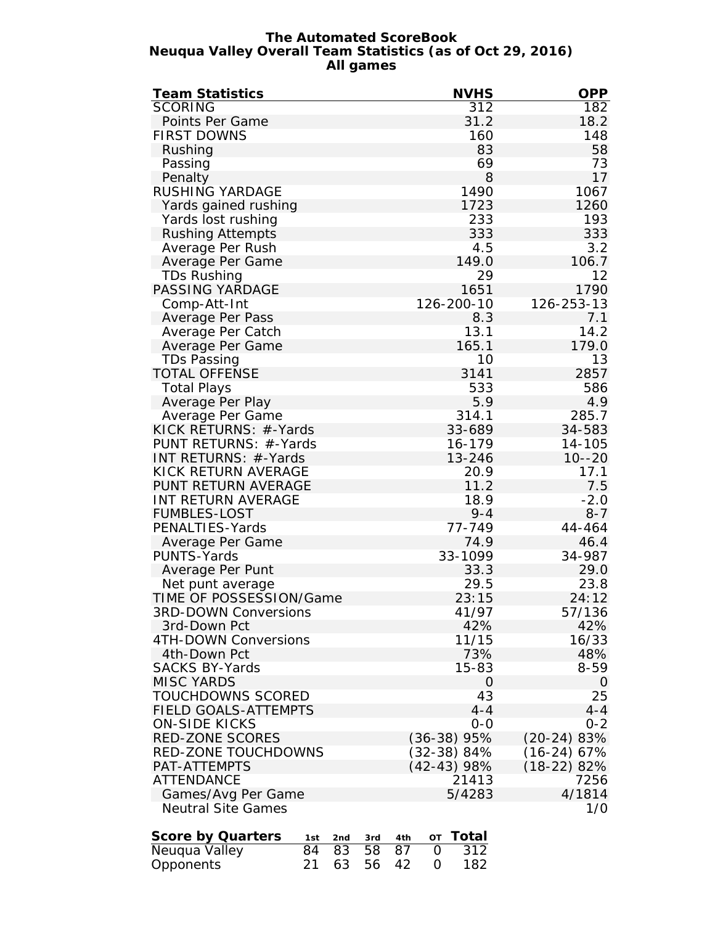#### **The Automated ScoreBook Neuqua Valley Overall Team Statistics (as of Oct 29, 2016) All games**

| <b>Team Statistics</b>      |     |     |                 |                 |               | <b>NVHS</b>      | <b>OPP</b>          |
|-----------------------------|-----|-----|-----------------|-----------------|---------------|------------------|---------------------|
| <b>SCORING</b>              |     |     |                 |                 |               | $\overline{312}$ | $\overline{182}$    |
| Points Per Game             |     |     |                 |                 |               | 31.2             | 18.2                |
| <b>FIRST DOWNS</b>          |     |     |                 |                 |               | 160              | 148                 |
| Rushing                     |     |     |                 |                 |               | 83               | 58                  |
| Passing                     |     |     |                 |                 |               | 69               | 73                  |
| Penalty                     |     |     |                 |                 |               | 8                | 17                  |
|                             |     |     |                 |                 |               | 1490             |                     |
| RUSHING YARDAGE             |     |     |                 |                 |               |                  | 1067                |
| Yards gained rushing        |     |     |                 |                 |               | 1723             | 1260                |
| Yards lost rushing          |     |     |                 |                 |               | 233              | 193                 |
| <b>Rushing Attempts</b>     |     |     |                 |                 |               | 333              | 333                 |
| Average Per Rush            |     |     |                 |                 |               | 4.5              | 3.2                 |
| Average Per Game            |     |     |                 |                 |               | 149.0            | 106.7               |
| <b>TDs Rushing</b>          |     |     |                 |                 |               | 29               | 12                  |
| PASSING YARDAGE             |     |     |                 |                 |               | 1651             | 1790                |
| Comp-Att-Int                |     |     |                 |                 | 126-200-10    |                  | 126-253-13          |
| Average Per Pass            |     |     |                 |                 |               | 8.3              | 7.1                 |
| Average Per Catch           |     |     |                 |                 |               | 13.1             | 14.2                |
| Average Per Game            |     |     |                 |                 |               | 165.1            | 179.0               |
| TDs Passing                 |     |     |                 |                 |               | 10               | 13                  |
| <b>TOTAL OFFENSE</b>        |     |     |                 |                 |               | 3141             | 2857                |
| Total Plays                 |     |     |                 |                 |               | 533              | 586                 |
| Average Per Play            |     |     |                 |                 |               | 5.9              | 4.9                 |
|                             |     |     |                 |                 |               |                  |                     |
| Average Per Game            |     |     |                 |                 |               | 314.1            | 285.7               |
| KICK RETURNS: #-Yards       |     |     |                 |                 |               | 33-689           | 34-583              |
| PUNT RETURNS: #-Yards       |     |     |                 |                 |               | 16-179           | 14-105              |
| INT RETURNS: #-Yards        |     |     |                 |                 |               | 13-246           | $10 - -20$          |
| KICK RETURN AVERAGE         |     |     |                 |                 |               | 20.9             | 17.1                |
| PUNT RETURN AVERAGE         |     |     |                 |                 |               | 11.2             | 7.5                 |
| INT RETURN AVERAGE          |     |     |                 |                 |               | 18.9             | $-2.0$              |
| <b>FUMBLES-LOST</b>         |     |     |                 |                 |               | $9 - 4$          | $8 - 7$             |
| PENALTIES-Yards             |     |     |                 |                 |               | 77-749           | 44-464              |
| Average Per Game            |     |     |                 |                 |               | 74.9             | 46.4                |
| PUNTS-Yards                 |     |     |                 |                 |               | 33-1099          | 34-987              |
| Average Per Punt            |     |     |                 |                 |               | 33.3             | 29.0                |
| Net punt average            |     |     |                 |                 |               | 29.5             | 23.8                |
| TIME OF POSSESSION/Game     |     |     |                 |                 |               | 23:15            | 24:12               |
| <b>3RD-DOWN Conversions</b> |     |     |                 |                 |               | 41/97            | 57/136              |
| 3rd-Down Pct                |     |     |                 |                 |               | 42%              | 42%                 |
| 4TH-DOWN Conversions        |     |     |                 |                 |               | 11/15            | 16/33               |
| 4th-Down Pct                |     |     |                 |                 |               | 73%              | 48%                 |
| <b>SACKS BY-Yards</b>       |     |     |                 |                 |               | 15-83            | 8-59                |
| <b>MISC YARDS</b>           |     |     |                 |                 |               |                  |                     |
| TOUCHDOWNS SCORED           |     |     |                 |                 |               | 0<br>43          | $\mathcal{O}$<br>25 |
|                             |     |     |                 |                 |               |                  |                     |
| FIELD GOALS-ATTEMPTS        |     |     |                 |                 |               | $4 - 4$          | $4 - 4$             |
| <b>ON-SIDE KICKS</b>        |     |     |                 |                 |               | $0 - 0$          | $0 - 2$             |
| RED-ZONE SCORES             |     |     |                 |                 | $(36-38)95%$  |                  | $(20-24)83%$        |
| RED-ZONE TOUCHDOWNS         |     |     |                 |                 | (32-38) 84%   |                  | $(16-24)$ 67%       |
| PAT-ATTEMPTS                |     |     |                 |                 | $(42-43)$ 98% |                  | $(18-22)$ 82%       |
| <b>ATTENDANCE</b>           |     |     |                 |                 |               | 21413            | 7256                |
| Games/Avg Per Game          |     |     |                 |                 |               | 5/4283           | 4/1814              |
| <b>Neutral Site Games</b>   |     |     |                 |                 |               |                  | 1/0                 |
| Score by Quarters           | 1st | 2nd | 3rd             | 4th             | ОT            | Total            |                     |
| Neuqua Valley               | 84  | 83  | $\overline{58}$ | $\overline{87}$ | 0             | $\overline{312}$ |                     |
| Opponents                   | 21  | 63  | 56              | 42              | 0             | 182              |                     |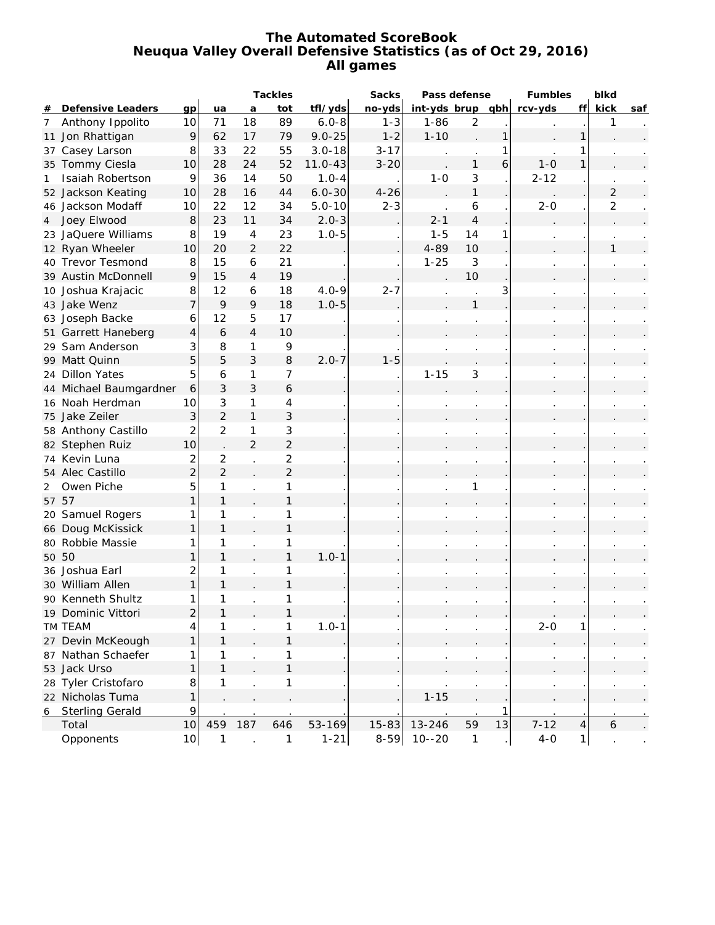### **The Automated ScoreBook Neuqua Valley Overall Defensive Statistics (as of Oct 29, 2016) All games**

|                |                        |                | Tackles        |                | Sacks          | Pass defense |          |                  | Fumbles        | blkd |          |                |                |     |
|----------------|------------------------|----------------|----------------|----------------|----------------|--------------|----------|------------------|----------------|------|----------|----------------|----------------|-----|
| #              | Defensive Leaders      | qp             | ua             | a              | tot            | tfl/yds      | no-yds   | int-yds brup qbh |                |      | rcv-yds  | ff             | kick           | saf |
| $\overline{7}$ | Anthony Ippolito       | 10             | 71             | 18             | 89             | $6.0 - 8$    | $1 - 3$  | $1 - 86$         | $\overline{2}$ |      |          |                | 1              |     |
|                | 11 Jon Rhattigan       | $\mathcal{Q}$  | 62             | 17             | 79             | $9.0 - 25$   | $1 - 2$  | $1 - 10$         |                | 1    |          | 1              |                |     |
| 37             | Casey Larson           | 8              | 33             | 22             | 55             | $3.0 - 18$   | $3 - 17$ |                  |                |      |          |                |                |     |
|                | 35 Tommy Ciesla        | 10             | 28             | 24             | 52             | $11.0 - 43$  | $3 - 20$ |                  | $\mathbf{1}$   | 6    | $1-0$    | 1              |                |     |
| 1              | Isaiah Robertson       | 9              | 36             | 14             | 50             | $1.0 - 4$    |          | $1 - 0$          | 3              |      | $2 - 12$ |                |                |     |
|                | 52 Jackson Keating     | 10             | 28             | 16             | 44             | $6.0 - 30$   | $4 - 26$ |                  | $\mathbf{1}$   |      |          |                | $\overline{2}$ |     |
|                | 46 Jackson Modaff      | 10             | 22             | 12             | 34             | $5.0 - 10$   | $2 - 3$  |                  | 6              |      | $2 - 0$  |                | 2              |     |
| 4              | Joey Elwood            | $\bf{8}$       | 23             | 11             | 34             | $2.0 - 3$    |          | $2 - 1$          | $\overline{4}$ |      |          |                |                |     |
|                | 23 JaQuere Williams    | 8              | 19             | 4              | 23             | $1.0 - 5$    |          | $1 - 5$          | 14             |      |          |                |                |     |
|                | 12 Ryan Wheeler        | 10             | 20             | $\overline{2}$ | 22             |              |          | $4 - 89$         | 10             |      |          |                | $\mathbf{1}$   |     |
|                | 40 Trevor Tesmond      | 8              | 15             | 6              | 21             |              |          | $1 - 25$         | 3              |      |          |                |                |     |
|                | 39 Austin McDonnell    | $\mathcal{Q}$  | 15             | 4              | 19             |              |          |                  | 10             |      |          |                |                |     |
|                | 10 Joshua Krajacic     | $\bf{8}$       | 12             | 6              | 18             | $4.0 - 9$    | $2 - 7$  |                  |                | 3    |          |                |                |     |
|                | 43 Jake Wenz           | $\overline{7}$ | 9              | 9              | 18             | $1.0 - 5$    |          |                  | $\mathbf{1}$   |      |          |                |                |     |
|                | 63 Joseph Backe        | 6              | 12             | 5              | 17             |              |          |                  |                |      |          |                |                |     |
|                | 51 Garrett Haneberg    | 4              | 6              | $\overline{4}$ | 10             |              |          |                  |                |      |          |                |                |     |
|                | 29 Sam Anderson        | 3              | 8              | 1              | 9              |              |          |                  |                |      |          |                |                |     |
|                | 99 Matt Quinn          | 5              | 5              | 3              | $\,8\,$        | $2.0 - 7$    | $1 - 5$  |                  |                |      |          |                |                |     |
|                | 24 Dillon Yates        | 5              | 6              | 1              | 7              |              |          | $1 - 15$         | 3              |      |          |                |                |     |
|                | 44 Michael Baumgardner | 6              | 3              | 3              | 6              |              |          |                  |                |      |          |                |                |     |
|                | 16 Noah Herdman        | 10             | 3              | 1              | 4              |              |          |                  |                |      |          |                |                |     |
|                | 75 Jake Zeiler         | 3              | $\overline{2}$ | $\mathbf{1}$   | 3              |              |          |                  |                |      |          |                |                |     |
|                | 58 Anthony Castillo    | 2              | $\overline{2}$ | 1              | 3              |              |          |                  |                |      |          |                |                |     |
|                | 82 Stephen Ruiz        | 10             |                | $\overline{2}$ | $\overline{c}$ |              |          |                  |                |      |          |                |                |     |
|                | 74 Kevin Luna          | 2              | 2              |                | $\overline{2}$ |              |          |                  |                |      |          |                |                |     |
|                | 54 Alec Castillo       | $\overline{c}$ | $\overline{2}$ |                | $\overline{2}$ |              |          |                  |                |      |          |                |                |     |
| 2              | Owen Piche             | 5              | 1              |                | 1              |              |          |                  |                |      |          |                |                |     |
|                | 57 57                  | 1              | $\mathbf{1}$   |                | $\mathbf{1}$   |              |          |                  |                |      |          |                |                |     |
|                | 20 Samuel Rogers       | 1              | 1              |                | 1              |              |          |                  |                |      |          |                |                |     |
|                | 66 Doug McKissick      | 1              | $\mathbf{1}$   |                | $\mathbf{1}$   |              |          |                  |                |      |          |                |                |     |
|                | 80 Robbie Massie       | 1              | 1              |                | 1              |              |          |                  |                |      |          |                |                |     |
|                | 50 50                  | $\mathbf{1}$   | $\mathbf{1}$   |                | 1              | $1.0 - 1$    |          |                  |                |      |          |                |                |     |
|                | 36 Joshua Earl         | 2              | 1              |                | 1              |              |          |                  |                |      |          |                |                |     |
|                | 30 William Allen       | 1              | $\mathbf{1}$   |                | 1              |              |          |                  |                |      |          |                |                |     |
|                | 90 Kenneth Shultz      | 1              | 1              |                |                |              |          |                  |                |      |          |                |                |     |
|                | 19 Dominic Vittori     | $\overline{c}$ | 1              |                |                |              |          |                  |                |      |          |                |                |     |
|                | TM TEAM                | 4              |                |                | 1              | $1.0 - 1$    |          |                  |                |      | $2 - 0$  | 1              |                |     |
|                | 27 Devin McKeough      | $\mathbf{1}$   | $\mathbf{1}$   |                | 1              |              |          |                  |                |      |          |                |                |     |
|                | 87 Nathan Schaefer     | 1              | 1              |                | 1              |              |          |                  |                |      |          |                |                |     |
|                | 53 Jack Urso           | $\mathbf{1}$   | $\mathbf{1}$   |                | $\mathbf{1}$   |              |          |                  |                |      |          |                |                |     |
|                | 28 Tyler Cristofaro    | 8              | 1              |                | 1              |              |          |                  |                |      |          |                |                |     |
|                | 22 Nicholas Tuma       | $\mathbf{1}$   |                |                |                |              |          | $1 - 15$         |                |      |          |                |                |     |
| 6              | <b>Sterling Gerald</b> | 9              |                |                |                |              |          |                  |                |      |          |                |                |     |
|                | Total                  | 10             | 459            | 187            | 646            | 53-169       | 15-83    | 13-246           | 59             | 13   | $7 - 12$ | $\overline{4}$ | 6              |     |
|                | Opponents              | 10             | $\mathbf{1}$   |                | 1              | $1 - 21$     | $8 - 59$ | $10 - -20$       | $\mathbf{1}$   |      | $4-0$    | $\mathbf{1}$   |                |     |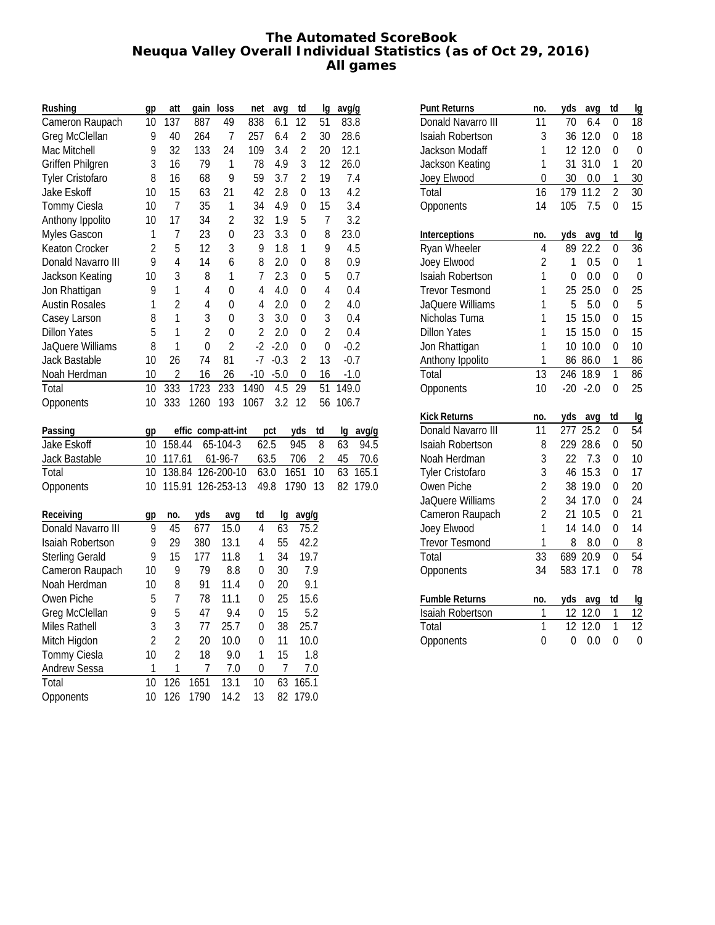### **The Automated ScoreBook Neuqua Valley Overall Individual Statistics (as of Oct 29, 2016) All games**

| Rushing                 | gp             | att            | gain               | loss           | net            | avg            | td             | lq               | avg/g    |               |
|-------------------------|----------------|----------------|--------------------|----------------|----------------|----------------|----------------|------------------|----------|---------------|
| Cameron Raupach         | 10             | 137            | 887                | 49             | 838            | 6.1            | 12             | 51               | 83.8     |               |
| Greg McClellan          | 9              | 40             | 264                | 7              | 257            | 6.4            | $\overline{c}$ | 30               | 28.6     |               |
| Mac Mitchell            | 9              | 32             | 133                | 24             | 109            | 3.4            | $\overline{2}$ | 20               | 12.1     |               |
| Griffen Philgren        | 3              | 16             | 79                 | 1              | 78             | 4.9            | 3              | 12               | 26.0     |               |
| <b>Tyler Cristofaro</b> | 8              | 16             | 68                 | 9              | 59             | 3.7            | $\overline{2}$ | 19               |          | 7.4           |
| Jake Eskoff             | 10             | 15             | 63                 | 21             | 42             | 2.8            | 0              | 13               |          | 4.2           |
| Tommy Ciesla            | 10             | $\overline{1}$ | 35                 | 1              | 34             | 4.9            | 0              | 15               |          | 3.4           |
| Anthony Ippolito        | 10             | 17             | 34                 | $\overline{c}$ | 32             | 1.9            | 5              | $\overline{1}$   |          | 3.2           |
| Myles Gascon            | 1              | $\overline{1}$ | 23                 | $\overline{0}$ | 23             | 3.3            | $\mathbf 0$    | 8                | 23.0     |               |
| Keaton Crocker          | $\overline{2}$ | 5              | 12                 | 3              | 9              | 1.8            | $\mathbf{1}$   | 9                |          | 4.5           |
| Donald Navarro III      | 9              | $\overline{4}$ | 14                 | 6              | 8              | 2.0            | 0              | 8                |          | 0.9           |
| Jackson Keating         | 10             | 3              | 8                  | $\mathbf{1}$   | $\overline{1}$ | 2.3            | $\overline{0}$ | 5                |          | 0.7           |
| Jon Rhattigan           | 9              | 1              | 4                  | $\mathbf{0}$   | 4              | 4.0            | $\mathbf 0$    | 4                |          | 0.4           |
| <b>Austin Rosales</b>   | 1              | $\overline{2}$ | 4                  | 0              | 4              | 2.0            | $\mathbf 0$    | $\overline{c}$   |          | 4.0           |
| Casey Larson            | 8              | 1              | 3                  | $\overline{0}$ | 3              | 3.0            | $\overline{0}$ | 3                |          | 0.4           |
| <b>Dillon Yates</b>     | 5              | 1              | $\overline{2}$     | $\overline{0}$ | $\overline{2}$ | 2.0            | $\overline{0}$ | $\overline{2}$   |          | 0.4           |
| JaQuere Williams        | 8              | 1              | $\mathbf{0}$       | $\overline{a}$ | $-2$           | $-2.0$         | $\mathbf 0$    | $\boldsymbol{0}$ |          | $-0.2$        |
| Jack Bastable           | 10             | 26             | 74                 | 81             | -7             | $-0.3$         | $\overline{c}$ | 13               |          | $-0.7$        |
| Noah Herdman            | 10             | $\overline{2}$ | 16                 | 26             | $-10$          | $-5.0$         | $\mathbf 0$    | 16               |          | $-1.0$        |
| Total                   | 10             | 333            | 1723               | 233            | 1490           | 4.5            | 29             | 51               | 149.0    |               |
| Opponents               | 10             | 333            | 1260               | 193            | 1067           | 3.2            | 12             | 56               | 106.7    |               |
|                         |                |                |                    |                |                |                |                | td               |          |               |
| Passing<br>Jake Eskoff  | gp<br>10       | 158.44         | effic comp-att-int | 65-104-3       | 62.5           | pct            | yds<br>945     | 8                | lg<br>63 | avg/g<br>94.5 |
| Jack Bastable           | 10             | 117.61         |                    | 61-96-7        | 63.5           |                | 706            | $\overline{c}$   | 45       | 70.6          |
| Total                   | 10             | 138.84         |                    | 126-200-10     | 63.0           |                | 1651           | 10               | 63       | 165.1         |
| Opponents               | 10             | 115.91         |                    | 126-253-13     | 49.8           |                | 1790           | 13               | 82       | 179.0         |
|                         |                |                |                    |                |                |                |                |                  |          |               |
| Receiving               | gp             | no.            | yds                | avg            | td             | lg             | avg/g          |                  |          |               |
| Donald Navarro III      | 9              | 45             | 677                | 15.0           | $\overline{4}$ | 63             |                | 75.2             |          |               |
| Isaiah Robertson        | 9              | 29             | 380                | 13.1           | $\overline{4}$ | 55             | 42.2           |                  |          |               |
| <b>Sterling Gerald</b>  | 9              | 15             | 177                | 11.8           | $\mathbf{1}$   | 34             |                | 19.7             |          |               |
| Cameron Raupach         | 10             | 9              | 79                 | 8.8            | 0              | 30             |                | 7.9              |          |               |
| Noah Herdman            | 10             | 8              | 91                 | 11.4           | 0              | 20             |                | 9.1              |          |               |
| Owen Piche              | 5              | $\overline{1}$ | 78                 | 11.1           | 0              | 25             | 15.6           |                  |          |               |
| Greg McClellan          | 9              | 5              | 47                 | 9.4            | $\mathbf 0$    | 15             |                | 5.2              |          |               |
| Miles Rathell           | 3              | 3              | 77                 | 25.7           | 0              | 38             | 25.7           |                  |          |               |
| Mitch Higdon            | $\overline{2}$ | $\overline{a}$ | 20                 | 10.0           | $\mathbf 0$    | 11             |                | 10.0             |          |               |
| Tommy Ciesla            | 10             | $\overline{2}$ | 18                 | 9.0            | 1              | 15             |                | 1.8              |          |               |
| Andrew Sessa            | 1              | 1              | 7                  | 7.0            | 0              | $\overline{1}$ |                | 7.0              |          |               |
| Total                   | 10             | 126            | 1651               | 13.1           | 10             | 63             | 165.1          |                  |          |               |
| Opponents               | 10             | 126            | 1790               | 14.2           | 13             | 82             | 179.0          |                  |          |               |

| Punt Returns            | no.            | yds<br>avg            | td             | Ig |
|-------------------------|----------------|-----------------------|----------------|----|
| Donald Navarro III      | 11             | 70<br>6.4             | 0              | 18 |
| <b>Isaiah Robertson</b> | 3              | 36<br>12.0            | 0              | 18 |
| Jackson Modaff          | 1              | 12<br>12.0            | 0              | 0  |
| Jackson Keating         | 1              | 31<br>31.0            | 1              | 20 |
| Joey Elwood             | $\overline{0}$ | 30<br>0.0             | 1              | 30 |
| Total                   | 16             | 179<br>11.2           | $\overline{2}$ | 30 |
| Opponents               | 14             | 105<br>7.5            | $\overline{0}$ | 15 |
| Interceptions           | no.            | yds<br>avg            | td             | Ig |
| Ryan Wheeler            | 4              | 22.2<br>89            | 0              | 36 |
| Joey Elwood             | $\overline{2}$ | 1<br>0.5              | 0              | 1  |
| <b>Isaiah Robertson</b> | 1              | $\overline{0}$<br>0.0 | 0              | 0  |
| <b>Trevor Tesmond</b>   | 1              | 25<br>25.0            | 0              | 25 |
| JaQuere Williams        | 1              | 5<br>5.0              | 0              | 5  |
| Nicholas Tuma           | 1              | 15<br>15.0            | 0              | 15 |
| <b>Dillon Yates</b>     | 1              | 15<br>15.0            | 0              | 15 |
| Jon Rhattigan           | 1              | 10.0<br>10            | 0              | 10 |
| Anthony Ippolito        | 1              | 86<br>86.0            | 1              | 86 |
| Total                   | 13             | 246<br>18.9           | 1              | 86 |
| Opponents               | 10             | $-20$<br>$-2.0$       | 0              | 25 |
| <b>Kick Returns</b>     | no.            | yds<br>avg            | td             | Ig |
| Donald Navarro III      | 11             | 277<br>25.2           | 0              | 54 |
| <b>Isaiah Robertson</b> | 8              | 229<br>28.6           | 0              | 50 |
| Noah Herdman            | 3              | 7.3<br>22             | 0              | 10 |
| <b>Tyler Cristofaro</b> | 3              | 46<br>15.3            | 0              | 17 |
| Owen Piche              | $\overline{c}$ | 38<br>19.0            | 0              | 20 |
| JaQuere Williams        | $\overline{c}$ | 34<br>17.0            | 0              | 24 |
| Cameron Raupach         | $\overline{a}$ | 21<br>10.5            | 0              | 21 |
| Joey Elwood             | $\overline{1}$ | 14.0<br>14            | 0              | 14 |
| <b>Trevor Tesmond</b>   | 1              | 8<br>8.0              | 0              | 8  |
| Total                   | 33             | 689<br>20.9           | 0              | 54 |
| Opponents               | 34             | 17.1<br>583           | $\overline{0}$ | 78 |
| Fumble Returns          | no.            | yds<br>avg            | td             | Ig |
| Isaiah Robertson        | 1              | 12<br>12.0            | 1              | 12 |
| Total                   | $\overline{1}$ | 12<br>12.0            | $\overline{1}$ | 12 |
| Opponents               | $\overline{0}$ | 0<br>0.0              | $\overline{0}$ | 0  |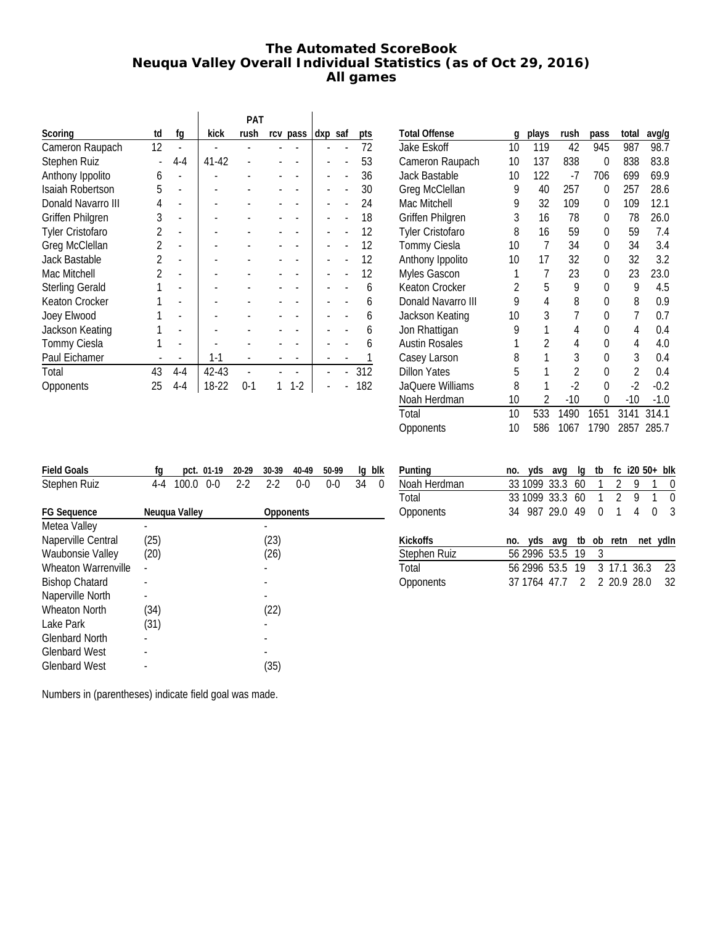# **The Automated ScoreBook Neuqua Valley Overall Individual Statistics (as of Oct 29, 2016) All games**

|                         |                |         |       | PAT  |          |         |     |
|-------------------------|----------------|---------|-------|------|----------|---------|-----|
| Scoring                 | td             | fg      | kick  | rush | rcv pass | dxp saf | pts |
| Cameron Raupach         | 12             |         |       |      |          |         | 72  |
| Stephen Ruiz            |                | $4 - 4$ | 41-42 |      |          |         | 53  |
| Anthony Ippolito        | 6              |         |       |      |          |         | 36  |
| Isaiah Robertson        | 5              |         |       |      |          |         | 30  |
| Donald Navarro III      | 4              |         |       |      |          |         | 24  |
| <b>Griffen Philgren</b> | 3              |         |       |      |          |         | 18  |
| <b>Tyler Cristofaro</b> | $\mathfrak{p}$ |         |       |      |          |         | 12  |
| Greg McClellan          | 2              |         |       |      |          |         | 12  |
| Jack Bastable           | $\mathfrak{p}$ |         |       |      |          |         | 12  |
| Mac Mitchell            | $\mathfrak{p}$ |         |       |      |          |         | 12  |
| <b>Sterling Gerald</b>  |                |         |       |      |          |         | 6   |
| Keaton Crocker          |                |         |       |      |          |         | 6   |
| Joey Elwood             |                |         |       |      |          |         | 6   |
| Jackson Keating         |                |         |       |      |          |         | 6   |
| Tommy Ciesla            |                |         |       |      |          |         | 6   |
| Paul Eichamer           |                |         | 1-1   |      |          |         |     |
| Total                   | 43             | $4 - 4$ | 42-43 |      |          |         | 312 |
| Opponents               | 25             | 4-4     | 18-22 | 0-1  | $1-2$    |         | 182 |

| <b>Total Offense</b>    | g  | plays | rush           | pass         | total          | avg/g  |
|-------------------------|----|-------|----------------|--------------|----------------|--------|
| Jake Eskoff             | 10 | 119   | 42             | 945          | 987            | 98.7   |
| Cameron Raupach         | 10 | 137   | 838            | 0            | 838            | 83.8   |
| <b>Jack Bastable</b>    | 10 | 122   | $-7$           | 706          | 699            | 69.9   |
| Greg McClellan          | 9  | 40    | 257            | 0            | 257            | 28.6   |
| Mac Mitchell            | 9  | 32    | 109            | 0            | 109            | 12.1   |
| <b>Griffen Philgren</b> | 3  | 16    | 78             | 0            | 78             | 26.0   |
| Tyler Cristofaro        | 8  | 16    | 59             | 0            | 59             | 7.4    |
| Tommy Ciesla            | 10 | 7     | 34             | 0            | 34             | 3.4    |
| Anthony Ippolito        | 10 | 17    | 32             | 0            | 32             | 3.2    |
| <b>Myles Gascon</b>     | 1  | 7     | 23             | 0            | 23             | 23.0   |
| Keaton Crocker          | 2  | 5     | 9              | 0            | 9              | 4.5    |
| Donald Navarro III      | 9  | 4     | 8              | 0            | 8              | 0.9    |
| Jackson Keating         | 10 | 3     | 7              | 0            | 7              | 0.7    |
| Jon Rhattigan           | 9  | 1     | 4              | 0            | 4              | 0.4    |
| <b>Austin Rosales</b>   | 1  | 2     | 4              | $\mathbf{0}$ | 4              | 4.0    |
| Casey Larson            | 8  | 1     | 3              | 0            | 3              | 0.4    |
| <b>Dillon Yates</b>     | 5  | 1     | $\mathfrak{p}$ | 0            | $\mathfrak{p}$ | 0.4    |
| JaQuere Williams        | 8  | 1     | $-2$           | $\Omega$     | $-2$           | $-0.2$ |
| Noah Herdman            | 10 | 2     | $-10$          | 0            | $-10$          | $-1.0$ |
| Total                   | 10 | 533   | 1490           | 1651         | 3141           | 314.1  |
| Opponents               | 10 | 586   | 1067           | 1790         | 2857           | 285.7  |
|                         |    |       |                |              |                |        |

| <b>Field Goals</b>         | fg   | pct. 01-19     | 20-29   | 30-39     | 40-49   | 50-99   | la | blk |
|----------------------------|------|----------------|---------|-----------|---------|---------|----|-----|
| Stephen Ruiz               | 4-4  | 100.0<br>$0-0$ | $2 - 2$ | $2 - 2$   | $0 - 0$ | $0 - 0$ | 34 | 0   |
|                            |      |                |         |           |         |         |    |     |
| <b>FG Sequence</b>         |      | Neugua Valley  |         | Opponents |         |         |    |     |
| Metea Valley               |      |                |         |           |         |         |    |     |
| Naperville Central         | (25) |                |         | (23)      |         |         |    |     |
| <b>Waubonsie Valley</b>    | (20) |                |         | (26)      |         |         |    |     |
| <b>Wheaton Warrenville</b> |      |                |         |           |         |         |    |     |
| <b>Bishop Chatard</b>      |      |                |         |           |         |         |    |     |
| Naperville North           |      |                |         |           |         |         |    |     |
| <b>Wheaton North</b>       | (34) |                |         | (22)      |         |         |    |     |
| Lake Park                  | (31) |                |         |           |         |         |    |     |
| <b>Glenbard North</b>      |      |                |         |           |         |         |    |     |
| <b>Glenbard West</b>       |      |                |         |           |         |         |    |     |
| <b>Glenbard West</b>       |      |                |         | (35)      |         |         |    |     |

| Punting          | no. yds avg                     |  |                |                | $lg$ tb fc $i20\,50+$ blk |              |
|------------------|---------------------------------|--|----------------|----------------|---------------------------|--------------|
| Noah Herdman     | 33 1099 33.3 60                 |  | $\overline{1}$ | $\mathcal{L}$  | 9                         | 0            |
| Total            | 33 1099 33.3 60 1 2             |  |                |                | 9                         | <sup>0</sup> |
| <b>Opponents</b> | 34 987 29.0 49                  |  | $\Omega$       | $\overline{1}$ | 4                         | 3<br>0       |
|                  |                                 |  |                |                |                           |              |
| Kickoffs         | no. yds avg tb ob retn net ydln |  |                |                |                           |              |
| Stephen Ruiz     | 56 2996 53.5 19                 |  | 3              |                |                           |              |
| Total            | 56 2996 53.5 19 3 17.1 36.3     |  |                |                |                           | 23           |
| Opponents        | 37 1764 47.7 2 2 20.9 28.0      |  |                |                |                           | 32           |
|                  |                                 |  |                |                |                           |              |

Numbers in (parentheses) indicate field goal was made.